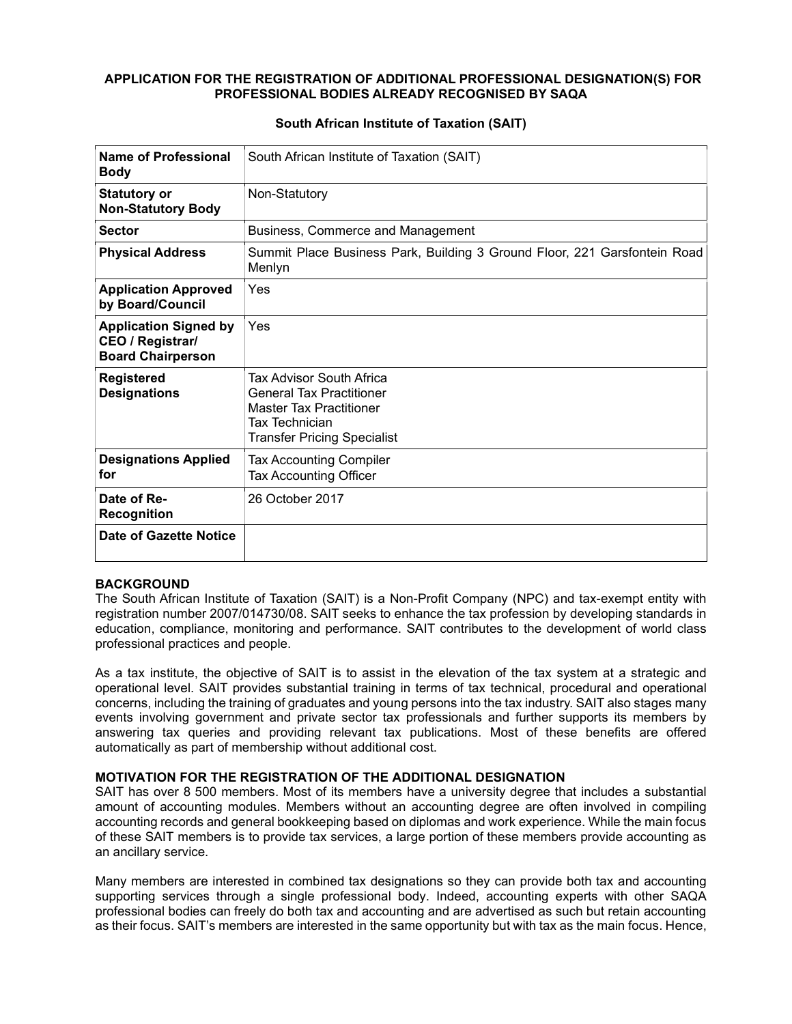#### APPLICATION FOR THE REGISTRATION OF ADDITIONAL PROFESSIONAL DESIGNATION(S) FOR PROFESSIONAL BODIES ALREADY RECOGNISED BY SAQA

| Name of Professional<br><b>Body</b>                                                 | South African Institute of Taxation (SAIT)                                                                                                            |
|-------------------------------------------------------------------------------------|-------------------------------------------------------------------------------------------------------------------------------------------------------|
| <b>Statutory or</b><br><b>Non-Statutory Body</b>                                    | Non-Statutory                                                                                                                                         |
| <b>Sector</b>                                                                       | Business, Commerce and Management                                                                                                                     |
| <b>Physical Address</b>                                                             | Summit Place Business Park, Building 3 Ground Floor, 221 Garsfontein Road<br>Menlyn                                                                   |
| <b>Application Approved</b><br>by Board/Council                                     | Yes                                                                                                                                                   |
| <b>Application Signed by</b><br><b>CEO / Registrar/</b><br><b>Board Chairperson</b> | Yes                                                                                                                                                   |
| <b>Registered</b><br><b>Designations</b>                                            | Tax Advisor South Africa<br><b>General Tax Practitioner</b><br><b>Master Tax Practitioner</b><br>Tax Technician<br><b>Transfer Pricing Specialist</b> |
| <b>Designations Applied</b><br>for                                                  | <b>Tax Accounting Compiler</b><br><b>Tax Accounting Officer</b>                                                                                       |
| Date of Re-<br><b>Recognition</b>                                                   | 26 October 2017                                                                                                                                       |
| <b>Date of Gazette Notice</b>                                                       |                                                                                                                                                       |

#### South African Institute of Taxation (SAIT)

# **BACKGROUND**

The South African Institute of Taxation (SAIT) is a Non-Profit Company (NPC) and tax-exempt entity with registration number 2007/014730/08. SAIT seeks to enhance the tax profession by developing standards in education, compliance, monitoring and performance. SAIT contributes to the development of world class professional practices and people.

As a tax institute, the objective of SAIT is to assist in the elevation of the tax system at a strategic and operational level. SAIT provides substantial training in terms of tax technical, procedural and operational concerns, including the training of graduates and young persons into the tax industry. SAIT also stages many events involving government and private sector tax professionals and further supports its members by answering tax queries and providing relevant tax publications. Most of these benefits are offered automatically as part of membership without additional cost.

#### MOTIVATION FOR THE REGISTRATION OF THE ADDITIONAL DESIGNATION

SAIT has over 8 500 members. Most of its members have a university degree that includes a substantial amount of accounting modules. Members without an accounting degree are often involved in compiling accounting records and general bookkeeping based on diplomas and work experience. While the main focus of these SAIT members is to provide tax services, a large portion of these members provide accounting as an ancillary service.

Many members are interested in combined tax designations so they can provide both tax and accounting supporting services through a single professional body. Indeed, accounting experts with other SAQA professional bodies can freely do both tax and accounting and are advertised as such but retain accounting as their focus. SAIT's members are interested in the same opportunity but with tax as the main focus. Hence,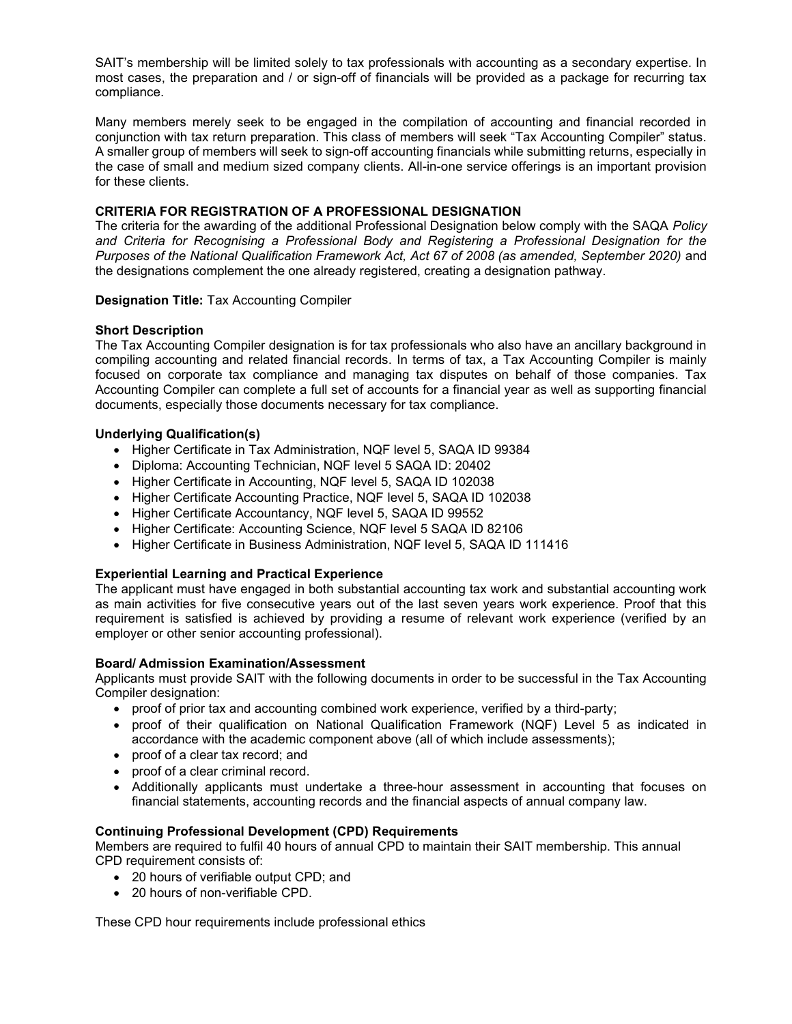SAIT's membership will be limited solely to tax professionals with accounting as a secondary expertise. In most cases, the preparation and / or sign-off of financials will be provided as a package for recurring tax compliance.

Many members merely seek to be engaged in the compilation of accounting and financial recorded in conjunction with tax return preparation. This class of members will seek "Tax Accounting Compiler" status. A smaller group of members will seek to sign-off accounting financials while submitting returns, especially in the case of small and medium sized company clients. All-in-one service offerings is an important provision for these clients.

## CRITERIA FOR REGISTRATION OF A PROFESSIONAL DESIGNATION

The criteria for the awarding of the additional Professional Designation below comply with the SAQA Policy and Criteria for Recognising a Professional Body and Registering a Professional Designation for the Purposes of the National Qualification Framework Act, Act 67 of 2008 (as amended, September 2020) and the designations complement the one already registered, creating a designation pathway.

## Designation Title: Tax Accounting Compiler

## Short Description

The Tax Accounting Compiler designation is for tax professionals who also have an ancillary background in compiling accounting and related financial records. In terms of tax, a Tax Accounting Compiler is mainly focused on corporate tax compliance and managing tax disputes on behalf of those companies. Tax Accounting Compiler can complete a full set of accounts for a financial year as well as supporting financial documents, especially those documents necessary for tax compliance.

## Underlying Qualification(s)

- Higher Certificate in Tax Administration, NQF level 5, SAQA ID 99384
- Diploma: Accounting Technician, NQF level 5 SAQA ID: 20402
- Higher Certificate in Accounting, NQF level 5, SAQA ID 102038
- Higher Certificate Accounting Practice, NQF level 5, SAQA ID 102038
- Higher Certificate Accountancy, NQF level 5, SAQA ID 99552
- Higher Certificate: Accounting Science, NQF level 5 SAQA ID 82106
- Higher Certificate in Business Administration, NQF level 5, SAQA ID 111416

#### Experiential Learning and Practical Experience

The applicant must have engaged in both substantial accounting tax work and substantial accounting work as main activities for five consecutive years out of the last seven years work experience. Proof that this requirement is satisfied is achieved by providing a resume of relevant work experience (verified by an employer or other senior accounting professional).

#### Board/ Admission Examination/Assessment

Applicants must provide SAIT with the following documents in order to be successful in the Tax Accounting Compiler designation:

- proof of prior tax and accounting combined work experience, verified by a third-party;
- proof of their qualification on National Qualification Framework (NQF) Level 5 as indicated in accordance with the academic component above (all of which include assessments);
- proof of a clear tax record; and
- proof of a clear criminal record.
- Additionally applicants must undertake a three-hour assessment in accounting that focuses on financial statements, accounting records and the financial aspects of annual company law.

### Continuing Professional Development (CPD) Requirements

Members are required to fulfil 40 hours of annual CPD to maintain their SAIT membership. This annual CPD requirement consists of:

- 20 hours of verifiable output CPD; and
- 20 hours of non-verifiable CPD.

These CPD hour requirements include professional ethics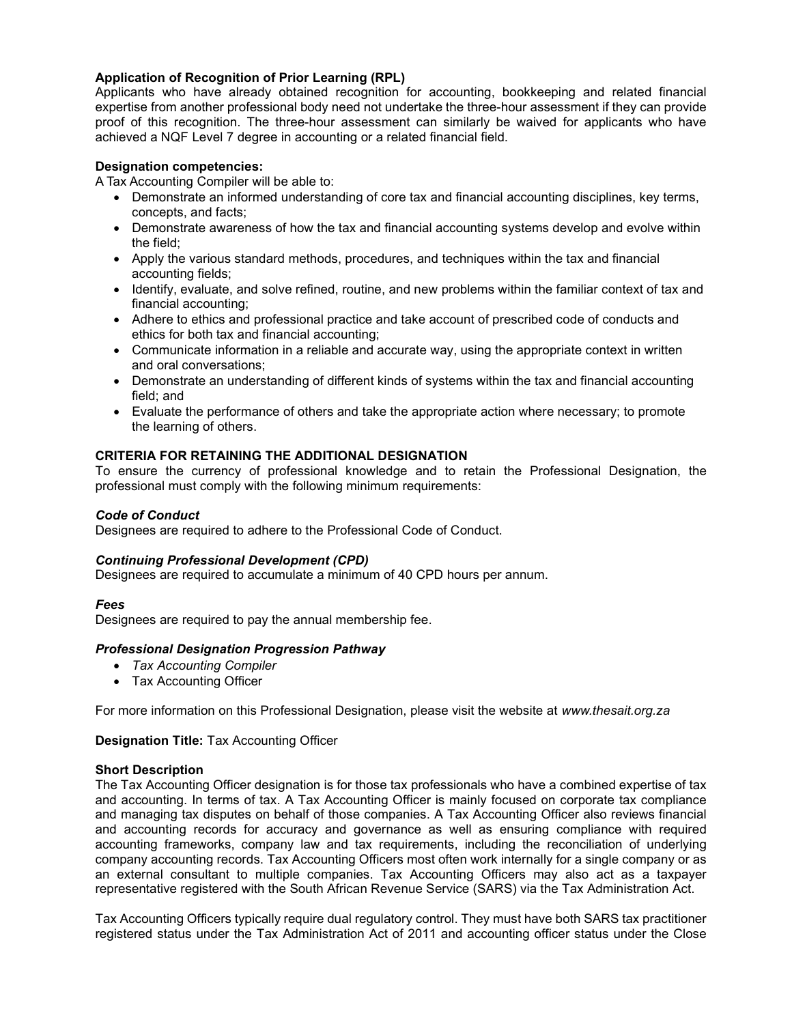## Application of Recognition of Prior Learning (RPL)

Applicants who have already obtained recognition for accounting, bookkeeping and related financial expertise from another professional body need not undertake the three-hour assessment if they can provide proof of this recognition. The three-hour assessment can similarly be waived for applicants who have achieved a NQF Level 7 degree in accounting or a related financial field.

## Designation competencies:

A Tax Accounting Compiler will be able to:

- Demonstrate an informed understanding of core tax and financial accounting disciplines, key terms, concepts, and facts;
- Demonstrate awareness of how the tax and financial accounting systems develop and evolve within the field;
- Apply the various standard methods, procedures, and techniques within the tax and financial accounting fields;
- Identify, evaluate, and solve refined, routine, and new problems within the familiar context of tax and financial accounting;
- Adhere to ethics and professional practice and take account of prescribed code of conducts and ethics for both tax and financial accounting;
- Communicate information in a reliable and accurate way, using the appropriate context in written and oral conversations;
- Demonstrate an understanding of different kinds of systems within the tax and financial accounting field; and
- Evaluate the performance of others and take the appropriate action where necessary; to promote the learning of others.

## CRITERIA FOR RETAINING THE ADDITIONAL DESIGNATION

To ensure the currency of professional knowledge and to retain the Professional Designation, the professional must comply with the following minimum requirements:

### Code of Conduct

Designees are required to adhere to the Professional Code of Conduct.

#### Continuing Professional Development (CPD)

Designees are required to accumulate a minimum of 40 CPD hours per annum.

#### Fees

Designees are required to pay the annual membership fee.

#### Professional Designation Progression Pathway

- Tax Accounting Compiler
- Tax Accounting Officer

For more information on this Professional Designation, please visit the website at www.thesait.org.za

#### Designation Title: Tax Accounting Officer

#### Short Description

The Tax Accounting Officer designation is for those tax professionals who have a combined expertise of tax and accounting. In terms of tax. A Tax Accounting Officer is mainly focused on corporate tax compliance and managing tax disputes on behalf of those companies. A Tax Accounting Officer also reviews financial and accounting records for accuracy and governance as well as ensuring compliance with required accounting frameworks, company law and tax requirements, including the reconciliation of underlying company accounting records. Tax Accounting Officers most often work internally for a single company or as an external consultant to multiple companies. Tax Accounting Officers may also act as a taxpayer representative registered with the South African Revenue Service (SARS) via the Tax Administration Act.

Tax Accounting Officers typically require dual regulatory control. They must have both SARS tax practitioner registered status under the Tax Administration Act of 2011 and accounting officer status under the Close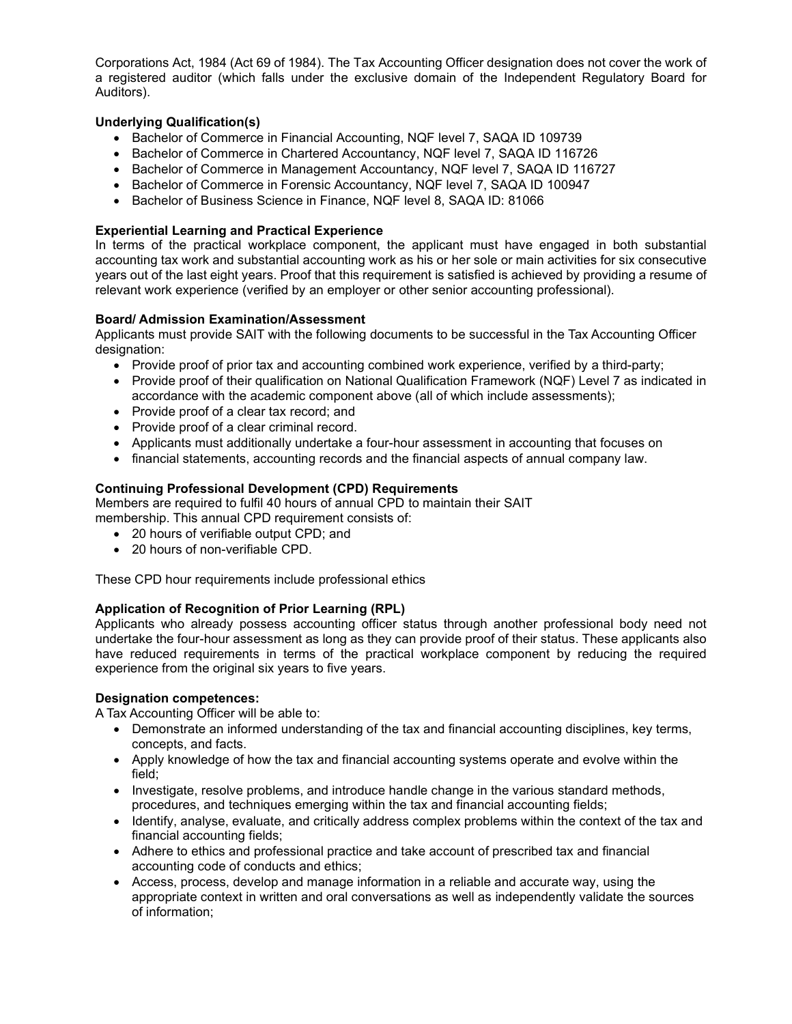Corporations Act, 1984 (Act 69 of 1984). The Tax Accounting Officer designation does not cover the work of a registered auditor (which falls under the exclusive domain of the Independent Regulatory Board for Auditors).

# Underlying Qualification(s)

- Bachelor of Commerce in Financial Accounting, NQF level 7, SAQA ID 109739
- Bachelor of Commerce in Chartered Accountancy, NQF level 7, SAQA ID 116726
- Bachelor of Commerce in Management Accountancy, NQF level 7, SAQA ID 116727
- Bachelor of Commerce in Forensic Accountancy, NQF level 7, SAQA ID 100947
- Bachelor of Business Science in Finance, NQF level 8, SAQA ID: 81066

## Experiential Learning and Practical Experience

In terms of the practical workplace component, the applicant must have engaged in both substantial accounting tax work and substantial accounting work as his or her sole or main activities for six consecutive years out of the last eight years. Proof that this requirement is satisfied is achieved by providing a resume of relevant work experience (verified by an employer or other senior accounting professional).

## Board/ Admission Examination/Assessment

Applicants must provide SAIT with the following documents to be successful in the Tax Accounting Officer designation:

- Provide proof of prior tax and accounting combined work experience, verified by a third-party;
- Provide proof of their qualification on National Qualification Framework (NQF) Level 7 as indicated in accordance with the academic component above (all of which include assessments);
- Provide proof of a clear tax record; and
- Provide proof of a clear criminal record.
- Applicants must additionally undertake a four-hour assessment in accounting that focuses on
- financial statements, accounting records and the financial aspects of annual company law.

## Continuing Professional Development (CPD) Requirements

Members are required to fulfil 40 hours of annual CPD to maintain their SAIT membership. This annual CPD requirement consists of:

- 20 hours of verifiable output CPD; and
- 20 hours of non-verifiable CPD.

These CPD hour requirements include professional ethics

# Application of Recognition of Prior Learning (RPL)

Applicants who already possess accounting officer status through another professional body need not undertake the four-hour assessment as long as they can provide proof of their status. These applicants also have reduced requirements in terms of the practical workplace component by reducing the required experience from the original six years to five years.

#### Designation competences:

A Tax Accounting Officer will be able to:

- Demonstrate an informed understanding of the tax and financial accounting disciplines, key terms, concepts, and facts.
- Apply knowledge of how the tax and financial accounting systems operate and evolve within the field;
- Investigate, resolve problems, and introduce handle change in the various standard methods, procedures, and techniques emerging within the tax and financial accounting fields;
- Identify, analyse, evaluate, and critically address complex problems within the context of the tax and financial accounting fields;
- Adhere to ethics and professional practice and take account of prescribed tax and financial accounting code of conducts and ethics;
- Access, process, develop and manage information in a reliable and accurate way, using the appropriate context in written and oral conversations as well as independently validate the sources of information;